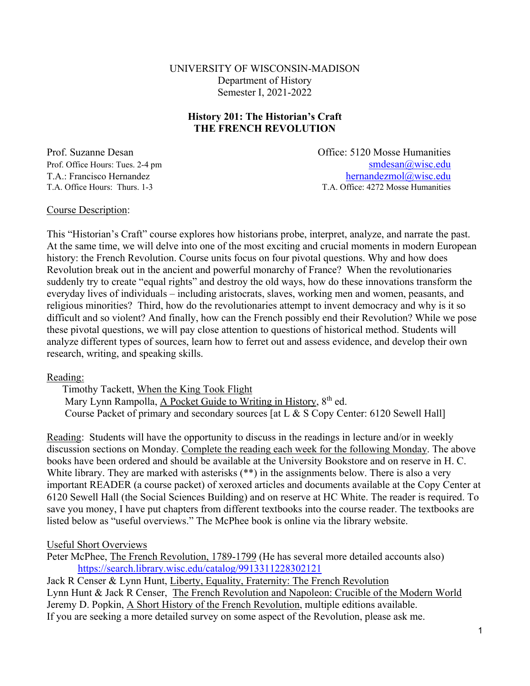#### UNIVERSITY OF WISCONSIN-MADISON Department of History Semester I, 2021-2022

#### **History 201: The Historian's Craft THE FRENCH REVOLUTION**

Prof. Suzanne Desan Office: 5120 Mosse Humanities Prof. Office Hours: Tues. 2-4 pm smdesan and smdesan and smdesan and smdesan and smdesan and smdesan and smdesan and smdesan and smdesan and smdesan and smdesan and smdesan and smdesan and smdesan and smdesan and smdesan a T.A.: Francisco Hernandez<br>
T.A. Office Hours: Thurs. 1-3<br>
T.A. Office: 4272 Mosse Humanities T.A. Office: 4272 Mosse Humanities

#### Course Description:

This "Historian's Craft" course explores how historians probe, interpret, analyze, and narrate the past. At the same time, we will delve into one of the most exciting and crucial moments in modern European history: the French Revolution. Course units focus on four pivotal questions. Why and how does Revolution break out in the ancient and powerful monarchy of France? When the revolutionaries suddenly try to create "equal rights" and destroy the old ways, how do these innovations transform the everyday lives of individuals – including aristocrats, slaves, working men and women, peasants, and religious minorities? Third, how do the revolutionaries attempt to invent democracy and why is it so difficult and so violent? And finally, how can the French possibly end their Revolution? While we pose these pivotal questions, we will pay close attention to questions of historical method. Students will analyze different types of sources, learn how to ferret out and assess evidence, and develop their own research, writing, and speaking skills.

#### Reading:

Timothy Tackett, When the King Took Flight Mary Lynn Rampolla, A Pocket Guide to Writing in History, 8<sup>th</sup> ed. Course Packet of primary and secondary sources [at L & S Copy Center: 6120 Sewell Hall]

Reading: Students will have the opportunity to discuss in the readings in lecture and/or in weekly discussion sections on Monday. Complete the reading each week for the following Monday. The above books have been ordered and should be available at the University Bookstore and on reserve in H. C. White library. They are marked with asterisks (\*\*) in the assignments below. There is also a very important READER (a course packet) of xeroxed articles and documents available at the Copy Center at 6120 Sewell Hall (the Social Sciences Building) and on reserve at HC White. The reader is required. To save you money, I have put chapters from different textbooks into the course reader. The textbooks are listed below as "useful overviews." The McPhee book is online via the library website.

#### Useful Short Overviews

Peter McPhee, The French Revolution, 1789-1799 (He has several more detailed accounts also) https://search.library.wisc.edu/catalog/9913311228302121 Jack R Censer & Lynn Hunt, Liberty, Equality, Fraternity: The French Revolution Lynn Hunt & Jack R Censer, The French Revolution and Napoleon: Crucible of the Modern World

Jeremy D. Popkin, A Short History of the French Revolution, multiple editions available.

If you are seeking a more detailed survey on some aspect of the Revolution, please ask me.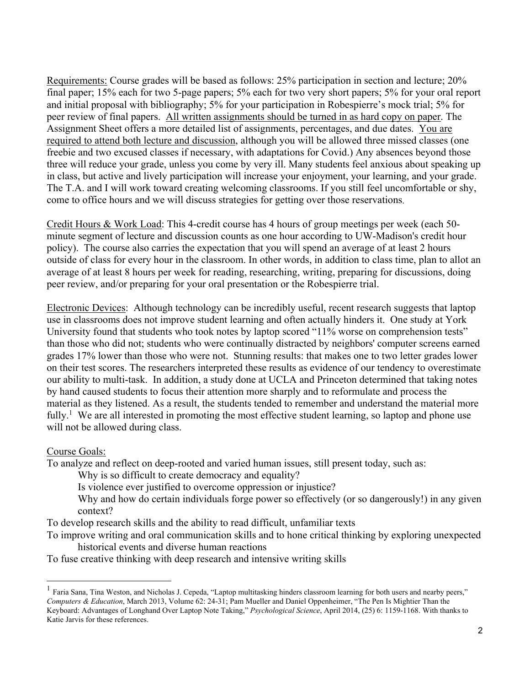Requirements: Course grades will be based as follows: 25% participation in section and lecture; 20% final paper; 15% each for two 5-page papers; 5% each for two very short papers; 5% for your oral report and initial proposal with bibliography; 5% for your participation in Robespierre's mock trial; 5% for peer review of final papers. All written assignments should be turned in as hard copy on paper. The Assignment Sheet offers a more detailed list of assignments, percentages, and due dates. You are required to attend both lecture and discussion, although you will be allowed three missed classes (one freebie and two excused classes if necessary, with adaptations for Covid.) Any absences beyond those three will reduce your grade, unless you come by very ill. Many students feel anxious about speaking up in class, but active and lively participation will increase your enjoyment, your learning, and your grade. The T.A. and I will work toward creating welcoming classrooms. If you still feel uncomfortable or shy, come to office hours and we will discuss strategies for getting over those reservations.

Credit Hours & Work Load: This 4-credit course has 4 hours of group meetings per week (each 50 minute segment of lecture and discussion counts as one hour according to UW-Madison's credit hour policy). The course also carries the expectation that you will spend an average of at least 2 hours outside of class for every hour in the classroom. In other words, in addition to class time, plan to allot an average of at least 8 hours per week for reading, researching, writing, preparing for discussions, doing peer review, and/or preparing for your oral presentation or the Robespierre trial.

Electronic Devices: Although technology can be incredibly useful, recent research suggests that laptop use in classrooms does not improve student learning and often actually hinders it. One study at York University found that students who took notes by laptop scored "11% worse on comprehension tests" than those who did not; students who were continually distracted by neighbors' computer screens earned grades 17% lower than those who were not. Stunning results: that makes one to two letter grades lower on their test scores. The researchers interpreted these results as evidence of our tendency to overestimate our ability to multi-task. In addition, a study done at UCLA and Princeton determined that taking notes by hand caused students to focus their attention more sharply and to reformulate and process the material as they listened. As a result, the students tended to remember and understand the material more fully.<sup>1</sup> We are all interested in promoting the most effective student learning, so laptop and phone use will not be allowed during class.

#### Course Goals:

l

To analyze and reflect on deep-rooted and varied human issues, still present today, such as:

Why is so difficult to create democracy and equality?

Is violence ever justified to overcome oppression or injustice?

Why and how do certain individuals forge power so effectively (or so dangerously!) in any given context?

To develop research skills and the ability to read difficult, unfamiliar texts

To improve writing and oral communication skills and to hone critical thinking by exploring unexpected historical events and diverse human reactions

To fuse creative thinking with deep research and intensive writing skills

<sup>&</sup>lt;sup>1</sup> Faria Sana, Tina Weston, and Nicholas J. Cepeda, "Laptop multitasking hinders classroom learning for both users and nearby peers," *Computers & Education*, March 2013, Volume 62: 24-31; Pam Mueller and Daniel Oppenheimer, "The Pen Is Mightier Than the Keyboard: Advantages of Longhand Over Laptop Note Taking," *Psychological Science*, April 2014, (25) 6: 1159-1168. With thanks to Katie Jarvis for these references.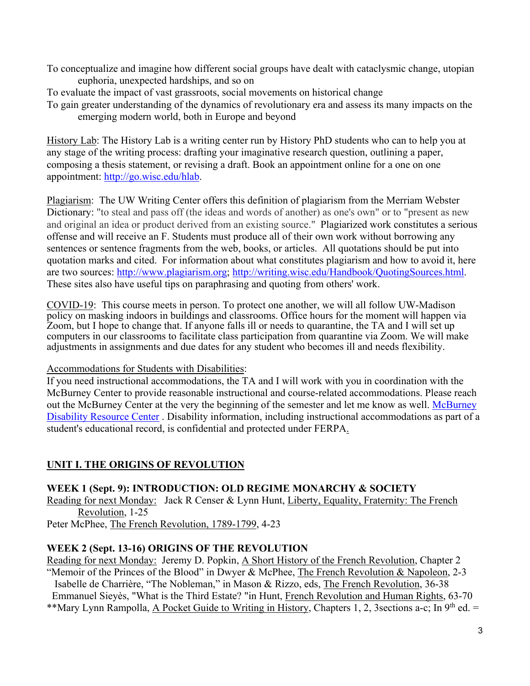- To conceptualize and imagine how different social groups have dealt with cataclysmic change, utopian euphoria, unexpected hardships, and so on
- To evaluate the impact of vast grassroots, social movements on historical change
- To gain greater understanding of the dynamics of revolutionary era and assess its many impacts on the emerging modern world, both in Europe and beyond

History Lab: The History Lab is a writing center run by History PhD students who can to help you at any stage of the writing process: drafting your imaginative research question, outlining a paper, composing a thesis statement, or revising a draft. Book an appointment online for a one on one appointment: http://go.wisc.edu/hlab.

Plagiarism: The UW Writing Center offers this definition of plagiarism from the Merriam Webster Dictionary: "to steal and pass off (the ideas and words of another) as one's own" or to "present as new and original an idea or product derived from an existing source." Plagiarized work constitutes a serious offense and will receive an F. Students must produce all of their own work without borrowing any sentences or sentence fragments from the web, books, or articles. All quotations should be put into quotation marks and cited. For information about what constitutes plagiarism and how to avoid it, here are two sources: http://www.plagiarism.org; http://writing.wisc.edu/Handbook/QuotingSources.html. These sites also have useful tips on paraphrasing and quoting from others' work.

COVID-19: This course meets in person. To protect one another, we will all follow UW-Madison policy on masking indoors in buildings and classrooms. Office hours for the moment will happen via Zoom, but I hope to change that. If anyone falls ill or needs to quarantine, the TA and I will set up computers in our classrooms to facilitate class participation from quarantine via Zoom. We will make adjustments in assignments and due dates for any student who becomes ill and needs flexibility.

Accommodations for Students with Disabilities:

If you need instructional accommodations, the TA and I will work with you in coordination with the McBurney Center to provide reasonable instructional and course-related accommodations. Please reach out the McBurney Center at the very the beginning of the semester and let me know as well. McBurney Disability Resource Center . Disability information, including instructional accommodations as part of a student's educational record, is confidential and protected under FERPA.

## **UNIT I. THE ORIGINS OF REVOLUTION**

### **WEEK 1 (Sept. 9): INTRODUCTION: OLD REGIME MONARCHY & SOCIETY**

Reading for next Monday: Jack R Censer & Lynn Hunt, Liberty, Equality, Fraternity: The French Revolution, 1-25

Peter McPhee, The French Revolution, 1789-1799, 4-23

### **WEEK 2 (Sept. 13-16) ORIGINS OF THE REVOLUTION**

Reading for next Monday: Jeremy D. Popkin, A Short History of the French Revolution, Chapter 2 "Memoir of the Princes of the Blood" in Dwyer & McPhee, The French Revolution & Napoleon, 2-3 Isabelle de Charrière, "The Nobleman," in Mason & Rizzo, eds, The French Revolution, 36-38 Emmanuel Sieyès, "What is the Third Estate? "in Hunt, French Revolution and Human Rights, 63-70 \*\*Mary Lynn Rampolla, A Pocket Guide to Writing in History, Chapters 1, 2, 3 sections a-c; In 9<sup>th</sup> ed. =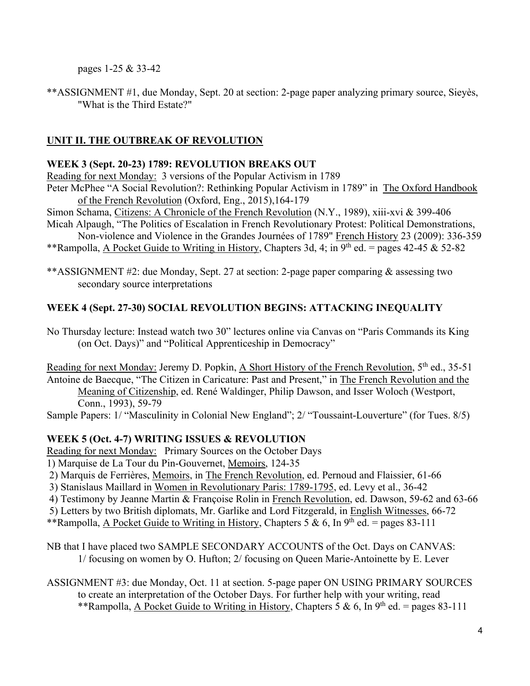pages 1-25 & 33-42

\*\*ASSIGNMENT #1, due Monday, Sept. 20 at section: 2-page paper analyzing primary source, Sieyès, "What is the Third Estate?"

# **UNIT II. THE OUTBREAK OF REVOLUTION**

## **WEEK 3 (Sept. 20-23) 1789: REVOLUTION BREAKS OUT**

Reading for next Monday: 3 versions of the Popular Activism in 1789

Peter McPhee "A Social Revolution?: Rethinking Popular Activism in 1789" in The Oxford Handbook of the French Revolution (Oxford, Eng., 2015),164-179

Simon Schama, Citizens: A Chronicle of the French Revolution (N.Y., 1989), xiii-xvi & 399-406 Micah Alpaugh, "The Politics of Escalation in French Revolutionary Protest: Political Demonstrations,

Non-violence and Violence in the Grandes Journées of 1789" French History 23 (2009): 336-359 \*\*Rampolla, A Pocket Guide to Writing in History, Chapters 3d, 4; in  $9<sup>th</sup>$  ed. = pages 42-45 & 52-82

\*\*ASSIGNMENT #2: due Monday, Sept. 27 at section: 2-page paper comparing & assessing two secondary source interpretations

# **WEEK 4 (Sept. 27-30) SOCIAL REVOLUTION BEGINS: ATTACKING INEQUALITY**

No Thursday lecture: Instead watch two 30" lectures online via Canvas on "Paris Commands its King (on Oct. Days)" and "Political Apprenticeship in Democracy"

Reading for next Monday: Jeremy D. Popkin, A Short History of the French Revolution,  $5<sup>th</sup>$  ed., 35-51 Antoine de Baecque, "The Citizen in Caricature: Past and Present," in The French Revolution and the Meaning of Citizenship, ed. René Waldinger, Philip Dawson, and Isser Woloch (Westport, Conn., 1993), 59-79

Sample Papers: 1/ "Masculinity in Colonial New England"; 2/ "Toussaint-Louverture" (for Tues. 8/5)

# **WEEK 5 (Oct. 4-7) WRITING ISSUES & REVOLUTION**

Reading for next Monday: Primary Sources on the October Days

1) Marquise de La Tour du Pin-Gouvernet, Memoirs, 124-35

2) Marquis de Ferrières, Memoirs, in The French Revolution, ed. Pernoud and Flaissier, 61-66

3) Stanislaus Maillard in Women in Revolutionary Paris: 1789-1795, ed. Levy et al., 36-42

4) Testimony by Jeanne Martin & Françoise Rolin in French Revolution, ed. Dawson, 59-62 and 63-66

5) Letters by two British diplomats, Mr. Garlike and Lord Fitzgerald, in English Witnesses, 66-72

\*\*Rampolla, A Pocket Guide to Writing in History, Chapters 5 & 6, In 9<sup>th</sup> ed. = pages 83-111

NB that I have placed two SAMPLE SECONDARY ACCOUNTS of the Oct. Days on CANVAS: 1/ focusing on women by O. Hufton; 2/ focusing on Queen Marie-Antoinette by E. Lever

ASSIGNMENT #3: due Monday, Oct. 11 at section. 5-page paper ON USING PRIMARY SOURCES to create an interpretation of the October Days. For further help with your writing, read \*\*Rampolla, A Pocket Guide to Writing in History, Chapters 5 & 6, In 9<sup>th</sup> ed. = pages 83-111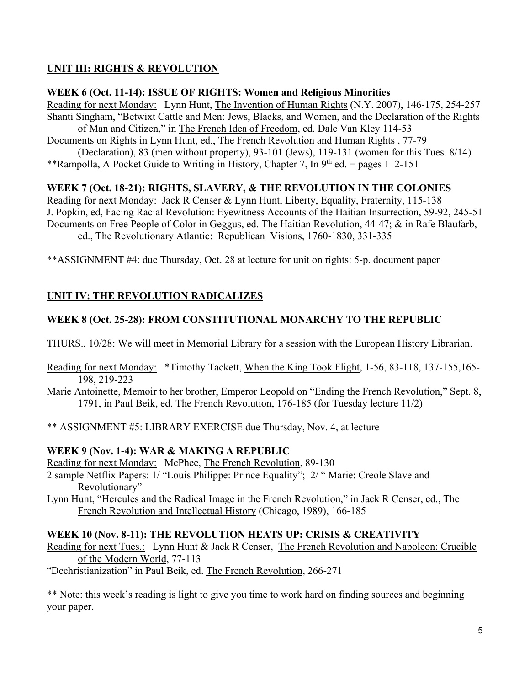## **UNIT III: RIGHTS & REVOLUTION**

#### **WEEK 6 (Oct. 11-14): ISSUE OF RIGHTS: Women and Religious Minorities**

Reading for next Monday: Lynn Hunt, The Invention of Human Rights (N.Y. 2007), 146-175, 254-257 Shanti Singham, "Betwixt Cattle and Men: Jews, Blacks, and Women, and the Declaration of the Rights of Man and Citizen," in The French Idea of Freedom, ed. Dale Van Kley 114-53 Documents on Rights in Lynn Hunt, ed., The French Revolution and Human Rights , 77-79 (Declaration), 83 (men without property), 93-101 (Jews), 119-131 (women for this Tues. 8/14)

\*\*Rampolla, A Pocket Guide to Writing in History, Chapter 7, In  $9<sup>th</sup>$  ed. = pages 112-151

### **WEEK 7 (Oct. 18-21): RIGHTS, SLAVERY, & THE REVOLUTION IN THE COLONIES**

Reading for next Monday: Jack R Censer & Lynn Hunt, Liberty, Equality, Fraternity, 115-138 J. Popkin, ed, Facing Racial Revolution: Eyewitness Accounts of the Haitian Insurrection, 59-92, 245-51 Documents on Free People of Color in Geggus, ed. The Haitian Revolution, 44-47; & in Rafe Blaufarb, ed., The Revolutionary Atlantic: Republican Visions, 1760-1830, 331-335

\*\*ASSIGNMENT #4: due Thursday, Oct. 28 at lecture for unit on rights: 5-p. document paper

# **UNIT IV: THE REVOLUTION RADICALIZES**

## **WEEK 8 (Oct. 25-28): FROM CONSTITUTIONAL MONARCHY TO THE REPUBLIC**

THURS., 10/28: We will meet in Memorial Library for a session with the European History Librarian.

Reading for next Monday: \*Timothy Tackett, When the King Took Flight, 1-56, 83-118, 137-155,165- 198, 219-223

Marie Antoinette, Memoir to her brother, Emperor Leopold on "Ending the French Revolution," Sept. 8, 1791, in Paul Beik, ed. The French Revolution, 176-185 (for Tuesday lecture 11/2)

\*\* ASSIGNMENT #5: LIBRARY EXERCISE due Thursday, Nov. 4, at lecture

### **WEEK 9 (Nov. 1-4): WAR & MAKING A REPUBLIC**

Reading for next Monday: McPhee, The French Revolution, 89-130

2 sample Netflix Papers: 1/ "Louis Philippe: Prince Equality"; 2/ " Marie: Creole Slave and Revolutionary"

Lynn Hunt, "Hercules and the Radical Image in the French Revolution," in Jack R Censer, ed., The French Revolution and Intellectual History (Chicago, 1989), 166-185

### **WEEK 10 (Nov. 8-11): THE REVOLUTION HEATS UP: CRISIS & CREATIVITY**

Reading for next Tues.: Lynn Hunt & Jack R Censer, The French Revolution and Napoleon: Crucible of the Modern World, 77-113

"Dechristianization" in Paul Beik, ed. The French Revolution, 266-271

\*\* Note: this week's reading is light to give you time to work hard on finding sources and beginning your paper.